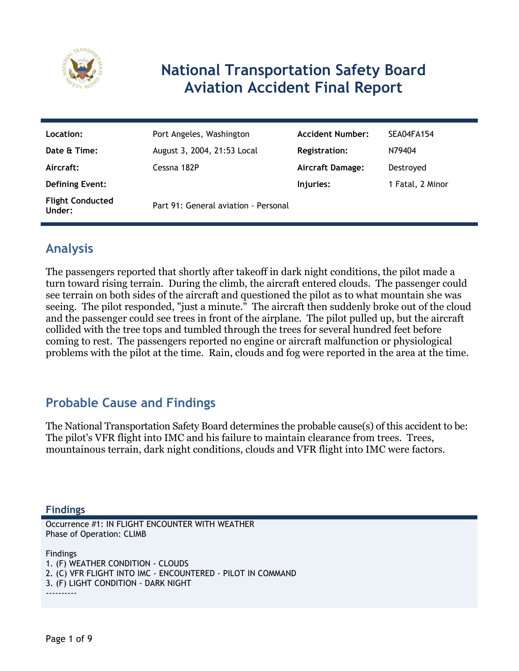

# **National Transportation Safety Board Aviation Accident Final Report**

| Location:                         | Port Angeles, Washington             | <b>Accident Number:</b> | SEA04FA154       |
|-----------------------------------|--------------------------------------|-------------------------|------------------|
| Date & Time:                      | August 3, 2004, 21:53 Local          | <b>Registration:</b>    | N79404           |
| Aircraft:                         | Cessna 182P                          | <b>Aircraft Damage:</b> | Destroyed        |
| <b>Defining Event:</b>            |                                      | Injuries:               | 1 Fatal, 2 Minor |
| <b>Flight Conducted</b><br>Under: | Part 91: General aviation - Personal |                         |                  |

# **Analysis**

The passengers reported that shortly after takeoff in dark night conditions, the pilot made a turn toward rising terrain. During the climb, the aircraft entered clouds. The passenger could see terrain on both sides of the aircraft and questioned the pilot as to what mountain she was seeing. The pilot responded, "just a minute." The aircraft then suddenly broke out of the cloud and the passenger could see trees in front of the airplane. The pilot pulled up, but the aircraft collided with the tree tops and tumbled through the trees for several hundred feet before coming to rest. The passengers reported no engine or aircraft malfunction or physiological problems with the pilot at the time. Rain, clouds and fog were reported in the area at the time.

### **Probable Cause and Findings**

The National Transportation Safety Board determines the probable cause(s) of this accident to be: The pilot's VFR flight into IMC and his failure to maintain clearance from trees. Trees, mountainous terrain, dark night conditions, clouds and VFR flight into IMC were factors.

**Findings**

Occurrence #1: IN FLIGHT ENCOUNTER WITH WEATHER Phase of Operation: CLIMB

Findings 1. (F) WEATHER CONDITION - CLOUDS 2. (C) VFR FLIGHT INTO IMC - ENCOUNTERED - PILOT IN COMMAND 3. (F) LIGHT CONDITION - DARK NIGHT ----------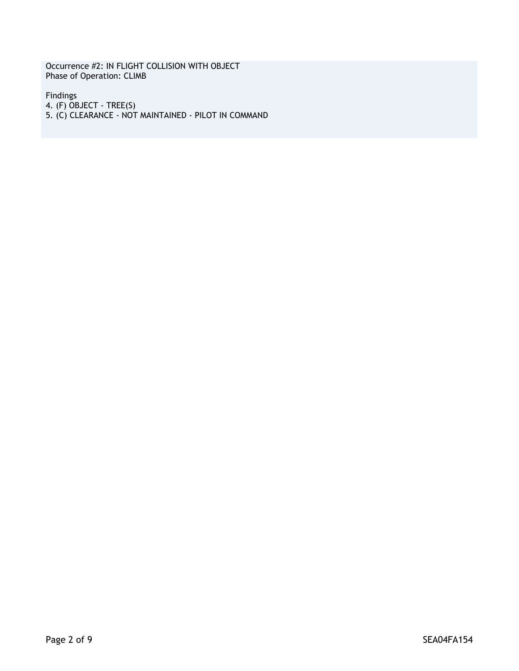Occurrence #2: IN FLIGHT COLLISION WITH OBJECT Phase of Operation: CLIMB

Findings 4. (F) OBJECT - TREE(S) 5. (C) CLEARANCE - NOT MAINTAINED - PILOT IN COMMAND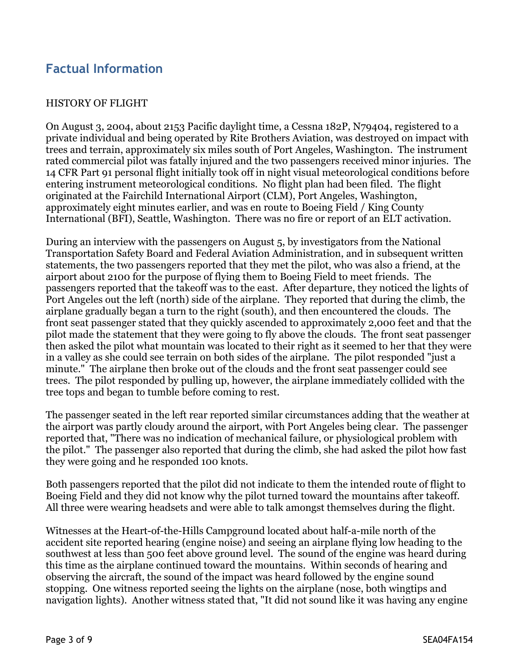### **Factual Information**

#### HISTORY OF FLIGHT

On August 3, 2004, about 2153 Pacific daylight time, a Cessna 182P, N79404, registered to a private individual and being operated by Rite Brothers Aviation, was destroyed on impact with trees and terrain, approximately six miles south of Port Angeles, Washington. The instrument rated commercial pilot was fatally injured and the two passengers received minor injuries. The 14 CFR Part 91 personal flight initially took off in night visual meteorological conditions before entering instrument meteorological conditions. No flight plan had been filed. The flight originated at the Fairchild International Airport (CLM), Port Angeles, Washington, approximately eight minutes earlier, and was en route to Boeing Field / King County International (BFI), Seattle, Washington. There was no fire or report of an ELT activation.

During an interview with the passengers on August 5, by investigators from the National Transportation Safety Board and Federal Aviation Administration, and in subsequent written statements, the two passengers reported that they met the pilot, who was also a friend, at the airport about 2100 for the purpose of flying them to Boeing Field to meet friends. The passengers reported that the takeoff was to the east. After departure, they noticed the lights of Port Angeles out the left (north) side of the airplane. They reported that during the climb, the airplane gradually began a turn to the right (south), and then encountered the clouds. The front seat passenger stated that they quickly ascended to approximately 2,000 feet and that the pilot made the statement that they were going to fly above the clouds. The front seat passenger then asked the pilot what mountain was located to their right as it seemed to her that they were in a valley as she could see terrain on both sides of the airplane. The pilot responded "just a minute." The airplane then broke out of the clouds and the front seat passenger could see trees. The pilot responded by pulling up, however, the airplane immediately collided with the tree tops and began to tumble before coming to rest.

The passenger seated in the left rear reported similar circumstances adding that the weather at the airport was partly cloudy around the airport, with Port Angeles being clear. The passenger reported that, "There was no indication of mechanical failure, or physiological problem with the pilot." The passenger also reported that during the climb, she had asked the pilot how fast they were going and he responded 100 knots.

Both passengers reported that the pilot did not indicate to them the intended route of flight to Boeing Field and they did not know why the pilot turned toward the mountains after takeoff. All three were wearing headsets and were able to talk amongst themselves during the flight.

Witnesses at the Heart-of-the-Hills Campground located about half-a-mile north of the accident site reported hearing (engine noise) and seeing an airplane flying low heading to the southwest at less than 500 feet above ground level. The sound of the engine was heard during this time as the airplane continued toward the mountains. Within seconds of hearing and observing the aircraft, the sound of the impact was heard followed by the engine sound stopping. One witness reported seeing the lights on the airplane (nose, both wingtips and navigation lights). Another witness stated that, "It did not sound like it was having any engine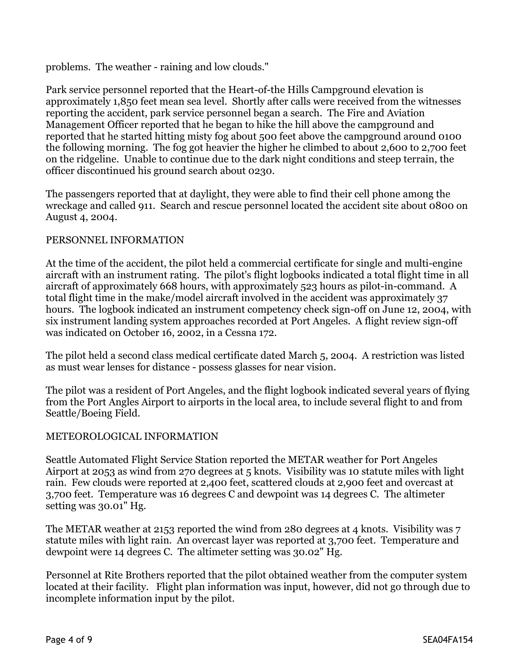problems. The weather - raining and low clouds."

Park service personnel reported that the Heart-of-the Hills Campground elevation is approximately 1,850 feet mean sea level. Shortly after calls were received from the witnesses reporting the accident, park service personnel began a search. The Fire and Aviation Management Officer reported that he began to hike the hill above the campground and reported that he started hitting misty fog about 500 feet above the campground around 0100 the following morning. The fog got heavier the higher he climbed to about 2,600 to 2,700 feet on the ridgeline. Unable to continue due to the dark night conditions and steep terrain, the officer discontinued his ground search about 0230.

The passengers reported that at daylight, they were able to find their cell phone among the wreckage and called 911. Search and rescue personnel located the accident site about 0800 on August 4, 2004.

#### PERSONNEL INFORMATION

At the time of the accident, the pilot held a commercial certificate for single and multi-engine aircraft with an instrument rating. The pilot's flight logbooks indicated a total flight time in all aircraft of approximately 668 hours, with approximately 523 hours as pilot-in-command. A total flight time in the make/model aircraft involved in the accident was approximately 37 hours. The logbook indicated an instrument competency check sign-off on June 12, 2004, with six instrument landing system approaches recorded at Port Angeles. A flight review sign-off was indicated on October 16, 2002, in a Cessna 172.

The pilot held a second class medical certificate dated March 5, 2004. A restriction was listed as must wear lenses for distance - possess glasses for near vision.

The pilot was a resident of Port Angeles, and the flight logbook indicated several years of flying from the Port Angles Airport to airports in the local area, to include several flight to and from Seattle/Boeing Field.

#### METEOROLOGICAL INFORMATION

Seattle Automated Flight Service Station reported the METAR weather for Port Angeles Airport at 2053 as wind from 270 degrees at 5 knots. Visibility was 10 statute miles with light rain. Few clouds were reported at 2,400 feet, scattered clouds at 2,900 feet and overcast at 3,700 feet. Temperature was 16 degrees C and dewpoint was 14 degrees C. The altimeter setting was 30.01" Hg.

The METAR weather at 2153 reported the wind from 280 degrees at 4 knots. Visibility was 7 statute miles with light rain. An overcast layer was reported at 3,700 feet. Temperature and dewpoint were 14 degrees C. The altimeter setting was 30.02" Hg.

Personnel at Rite Brothers reported that the pilot obtained weather from the computer system located at their facility. Flight plan information was input, however, did not go through due to incomplete information input by the pilot.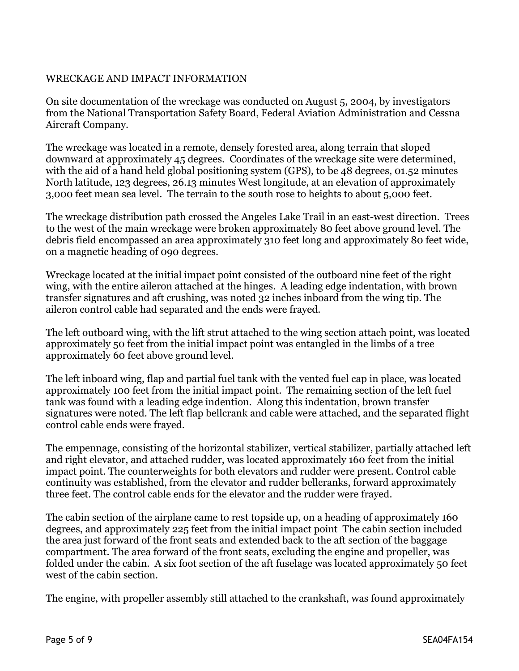#### WRECKAGE AND IMPACT INFORMATION

On site documentation of the wreckage was conducted on August 5, 2004, by investigators from the National Transportation Safety Board, Federal Aviation Administration and Cessna Aircraft Company.

The wreckage was located in a remote, densely forested area, along terrain that sloped downward at approximately 45 degrees. Coordinates of the wreckage site were determined, with the aid of a hand held global positioning system (GPS), to be 48 degrees, 01.52 minutes North latitude, 123 degrees, 26.13 minutes West longitude, at an elevation of approximately 3,000 feet mean sea level. The terrain to the south rose to heights to about 5,000 feet.

The wreckage distribution path crossed the Angeles Lake Trail in an east-west direction. Trees to the west of the main wreckage were broken approximately 80 feet above ground level. The debris field encompassed an area approximately 310 feet long and approximately 80 feet wide, on a magnetic heading of 090 degrees.

Wreckage located at the initial impact point consisted of the outboard nine feet of the right wing, with the entire aileron attached at the hinges. A leading edge indentation, with brown transfer signatures and aft crushing, was noted 32 inches inboard from the wing tip. The aileron control cable had separated and the ends were frayed.

The left outboard wing, with the lift strut attached to the wing section attach point, was located approximately 50 feet from the initial impact point was entangled in the limbs of a tree approximately 60 feet above ground level.

The left inboard wing, flap and partial fuel tank with the vented fuel cap in place, was located approximately 100 feet from the initial impact point. The remaining section of the left fuel tank was found with a leading edge indention. Along this indentation, brown transfer signatures were noted. The left flap bellcrank and cable were attached, and the separated flight control cable ends were frayed.

The empennage, consisting of the horizontal stabilizer, vertical stabilizer, partially attached left and right elevator, and attached rudder, was located approximately 160 feet from the initial impact point. The counterweights for both elevators and rudder were present. Control cable continuity was established, from the elevator and rudder bellcranks, forward approximately three feet. The control cable ends for the elevator and the rudder were frayed.

The cabin section of the airplane came to rest topside up, on a heading of approximately 160 degrees, and approximately 225 feet from the initial impact point The cabin section included the area just forward of the front seats and extended back to the aft section of the baggage compartment. The area forward of the front seats, excluding the engine and propeller, was folded under the cabin. A six foot section of the aft fuselage was located approximately 50 feet west of the cabin section.

The engine, with propeller assembly still attached to the crankshaft, was found approximately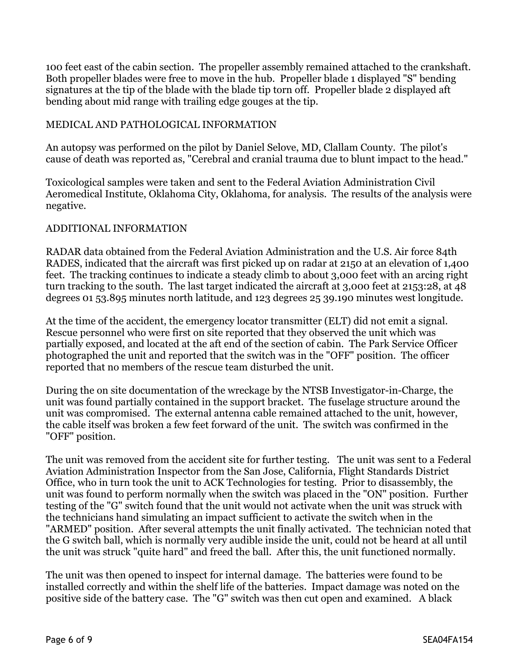100 feet east of the cabin section. The propeller assembly remained attached to the crankshaft. Both propeller blades were free to move in the hub. Propeller blade 1 displayed "S" bending signatures at the tip of the blade with the blade tip torn off. Propeller blade 2 displayed aft bending about mid range with trailing edge gouges at the tip.

#### MEDICAL AND PATHOLOGICAL INFORMATION

An autopsy was performed on the pilot by Daniel Selove, MD, Clallam County. The pilot's cause of death was reported as, "Cerebral and cranial trauma due to blunt impact to the head."

Toxicological samples were taken and sent to the Federal Aviation Administration Civil Aeromedical Institute, Oklahoma City, Oklahoma, for analysis. The results of the analysis were negative.

#### ADDITIONAL INFORMATION

RADAR data obtained from the Federal Aviation Administration and the U.S. Air force 84th RADES, indicated that the aircraft was first picked up on radar at 2150 at an elevation of 1,400 feet. The tracking continues to indicate a steady climb to about 3,000 feet with an arcing right turn tracking to the south. The last target indicated the aircraft at 3,000 feet at 2153:28, at 48 degrees 01 53.895 minutes north latitude, and 123 degrees 25 39.190 minutes west longitude.

At the time of the accident, the emergency locator transmitter (ELT) did not emit a signal. Rescue personnel who were first on site reported that they observed the unit which was partially exposed, and located at the aft end of the section of cabin. The Park Service Officer photographed the unit and reported that the switch was in the "OFF" position. The officer reported that no members of the rescue team disturbed the unit.

During the on site documentation of the wreckage by the NTSB Investigator-in-Charge, the unit was found partially contained in the support bracket. The fuselage structure around the unit was compromised. The external antenna cable remained attached to the unit, however, the cable itself was broken a few feet forward of the unit. The switch was confirmed in the "OFF" position.

The unit was removed from the accident site for further testing. The unit was sent to a Federal Aviation Administration Inspector from the San Jose, California, Flight Standards District Office, who in turn took the unit to ACK Technologies for testing. Prior to disassembly, the unit was found to perform normally when the switch was placed in the "ON" position. Further testing of the "G" switch found that the unit would not activate when the unit was struck with the technicians hand simulating an impact sufficient to activate the switch when in the "ARMED" position. After several attempts the unit finally activated. The technician noted that the G switch ball, which is normally very audible inside the unit, could not be heard at all until the unit was struck "quite hard" and freed the ball. After this, the unit functioned normally.

The unit was then opened to inspect for internal damage. The batteries were found to be installed correctly and within the shelf life of the batteries. Impact damage was noted on the positive side of the battery case. The "G" switch was then cut open and examined. A black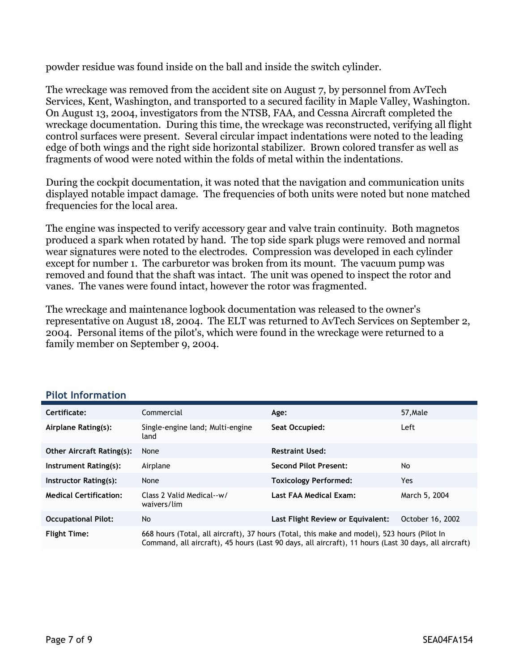powder residue was found inside on the ball and inside the switch cylinder.

The wreckage was removed from the accident site on August 7, by personnel from AvTech Services, Kent, Washington, and transported to a secured facility in Maple Valley, Washington. On August 13, 2004, investigators from the NTSB, FAA, and Cessna Aircraft completed the wreckage documentation. During this time, the wreckage was reconstructed, verifying all flight control surfaces were present. Several circular impact indentations were noted to the leading edge of both wings and the right side horizontal stabilizer. Brown colored transfer as well as fragments of wood were noted within the folds of metal within the indentations.

During the cockpit documentation, it was noted that the navigation and communication units displayed notable impact damage. The frequencies of both units were noted but none matched frequencies for the local area.

The engine was inspected to verify accessory gear and valve train continuity. Both magnetos produced a spark when rotated by hand. The top side spark plugs were removed and normal wear signatures were noted to the electrodes. Compression was developed in each cylinder except for number 1. The carburetor was broken from its mount. The vacuum pump was removed and found that the shaft was intact. The unit was opened to inspect the rotor and vanes. The vanes were found intact, however the rotor was fragmented.

The wreckage and maintenance logbook documentation was released to the owner's representative on August 18, 2004. The ELT was returned to AvTech Services on September 2, 2004. Personal items of the pilot's, which were found in the wreckage were returned to a family member on September 9, 2004.

| Certificate:                     | Commercial                                                                                                                                                                                          | Age:                              | 57, Male         |
|----------------------------------|-----------------------------------------------------------------------------------------------------------------------------------------------------------------------------------------------------|-----------------------------------|------------------|
| Airplane Rating(s):              | Single-engine land; Multi-engine<br>land                                                                                                                                                            | Seat Occupied:                    | Left             |
| <b>Other Aircraft Rating(s):</b> | None                                                                                                                                                                                                | <b>Restraint Used:</b>            |                  |
| Instrument Rating(s):            | Airplane                                                                                                                                                                                            | <b>Second Pilot Present:</b>      | No.              |
| Instructor Rating(s):            | None                                                                                                                                                                                                | <b>Toxicology Performed:</b>      | Yes.             |
| <b>Medical Certification:</b>    | Class 2 Valid Medical--w/<br>waivers/lim                                                                                                                                                            | Last FAA Medical Exam:            | March 5, 2004    |
| <b>Occupational Pilot:</b>       | No                                                                                                                                                                                                  | Last Flight Review or Equivalent: | October 16, 2002 |
| <b>Flight Time:</b>              | 668 hours (Total, all aircraft), 37 hours (Total, this make and model), 523 hours (Pilot In<br>Command, all aircraft), 45 hours (Last 90 days, all aircraft), 11 hours (Last 30 days, all aircraft) |                                   |                  |

#### **Pilot Information**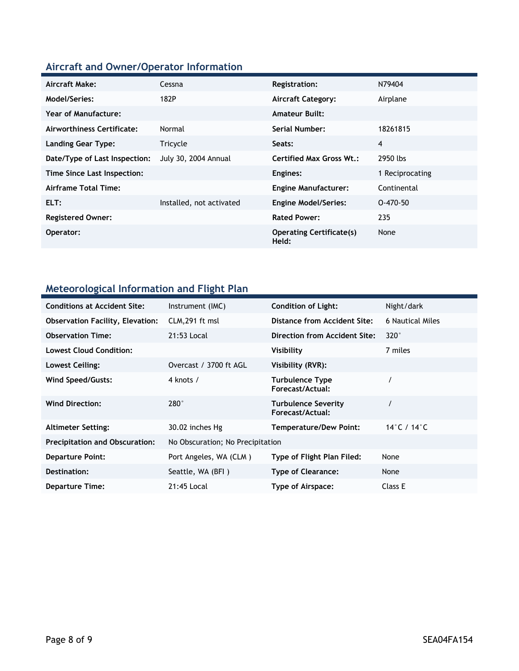# **Aircraft and Owner/Operator Information**

| Aircraft Make:                | Cessna                      | Registration:                            | N79404          |
|-------------------------------|-----------------------------|------------------------------------------|-----------------|
| <b>Model/Series:</b>          | 182P                        | <b>Aircraft Category:</b>                | Airplane        |
| <b>Year of Manufacture:</b>   |                             | <b>Amateur Built:</b>                    |                 |
| Airworthiness Certificate:    | Normal                      | Serial Number:                           | 18261815        |
| <b>Landing Gear Type:</b>     | Tricycle                    | Seats:                                   | 4               |
| Date/Type of Last Inspection: | <b>July 30, 2004 Annual</b> | <b>Certified Max Gross Wt.:</b>          | 2950 lbs        |
| Time Since Last Inspection:   |                             | Engines:                                 | 1 Reciprocating |
| Airframe Total Time:          |                             | <b>Engine Manufacturer:</b>              | Continental     |
| ELT:                          | Installed, not activated    | <b>Engine Model/Series:</b>              | $0 - 470 - 50$  |
| <b>Registered Owner:</b>      |                             | <b>Rated Power:</b>                      | 235             |
| Operator:                     |                             | <b>Operating Certificate(s)</b><br>Held: | None            |

### **Meteorological Information and Flight Plan**

| <b>Conditions at Accident Site:</b>     | Instrument (IMC)                 | <b>Condition of Light:</b>                     | Night/dark       |
|-----------------------------------------|----------------------------------|------------------------------------------------|------------------|
| <b>Observation Facility, Elevation:</b> | CLM, 291 ft msl                  | Distance from Accident Site:                   | 6 Nautical Miles |
| <b>Observation Time:</b>                | 21:53 Local                      | Direction from Accident Site:                  | $320^\circ$      |
| Lowest Cloud Condition:                 |                                  | Visibility                                     | 7 miles          |
| Lowest Ceiling:                         | Overcast / 3700 ft AGL           | Visibility (RVR):                              |                  |
| Wind Speed/Gusts:                       | 4 knots /                        | <b>Turbulence Type</b><br>Forecast/Actual:     |                  |
| <b>Wind Direction:</b>                  | $280^\circ$                      | <b>Turbulence Severity</b><br>Forecast/Actual: |                  |
| <b>Altimeter Setting:</b>               | 30.02 inches Hg                  | <b>Temperature/Dew Point:</b>                  | 14°C / 14°C      |
| <b>Precipitation and Obscuration:</b>   | No Obscuration; No Precipitation |                                                |                  |
| <b>Departure Point:</b>                 | Port Angeles, WA (CLM)           | Type of Flight Plan Filed:                     | None             |
| Destination:                            | Seattle, WA (BFI)                | <b>Type of Clearance:</b>                      | None             |
| <b>Departure Time:</b>                  | 21:45 Local                      | Type of Airspace:                              | Class E          |